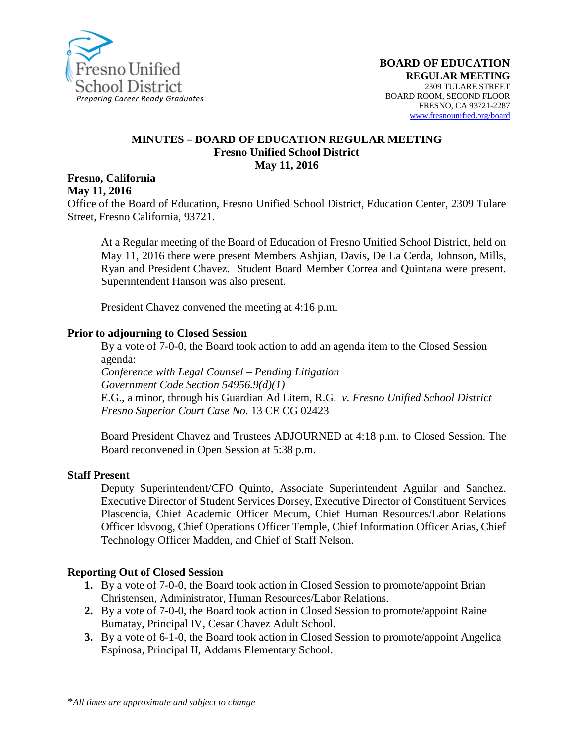

#### **MINUTES – BOARD OF EDUCATION REGULAR MEETING Fresno Unified School District May 11, 2016**

#### **Fresno, California May 11, 2016**

Office of the Board of Education, Fresno Unified School District, Education Center, 2309 Tulare Street, Fresno California, 93721.

At a Regular meeting of the Board of Education of Fresno Unified School District, held on May 11, 2016 there were present Members Ashjian, Davis, De La Cerda, Johnson, Mills, Ryan and President Chavez. Student Board Member Correa and Quintana were present. Superintendent Hanson was also present.

President Chavez convened the meeting at 4:16 p.m.

#### **Prior to adjourning to Closed Session**

By a vote of 7-0-0, the Board took action to add an agenda item to the Closed Session agenda:

*Conference with Legal Counsel – Pending Litigation Government Code Section 54956.9(d)(1)* E.G., a minor, through his Guardian Ad Litem, R.G. *v. Fresno Unified School District Fresno Superior Court Case No.* 13 CE CG 02423

Board President Chavez and Trustees ADJOURNED at 4:18 p.m. to Closed Session. The Board reconvened in Open Session at 5:38 p.m.

#### **Staff Present**

Deputy Superintendent/CFO Quinto, Associate Superintendent Aguilar and Sanchez. Executive Director of Student Services Dorsey, Executive Director of Constituent Services Plascencia, Chief Academic Officer Mecum, Chief Human Resources/Labor Relations Officer Idsvoog, Chief Operations Officer Temple, Chief Information Officer Arias, Chief Technology Officer Madden, and Chief of Staff Nelson.

#### **Reporting Out of Closed Session**

- **1.** By a vote of 7-0-0, the Board took action in Closed Session to promote/appoint Brian Christensen, Administrator, Human Resources/Labor Relations.
- **2.** By a vote of 7-0-0, the Board took action in Closed Session to promote/appoint Raine Bumatay, Principal IV, Cesar Chavez Adult School.
- **3.** By a vote of 6-1-0, the Board took action in Closed Session to promote/appoint Angelica Espinosa, Principal II, Addams Elementary School.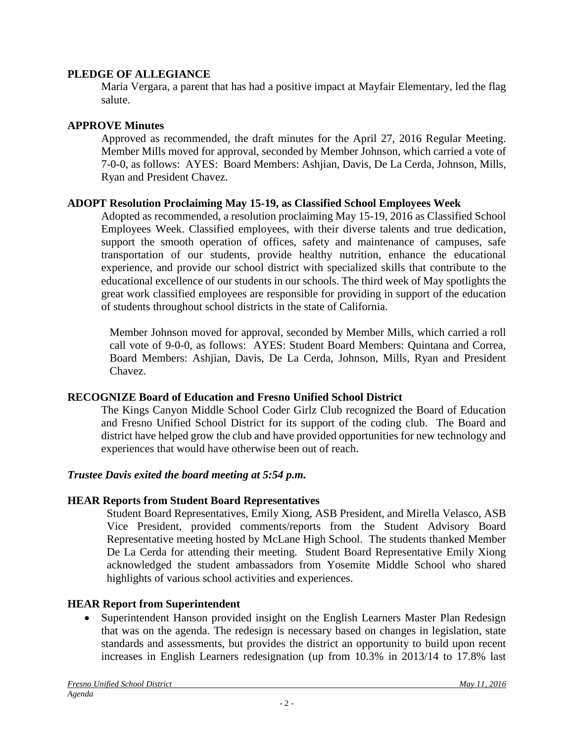### **PLEDGE OF ALLEGIANCE**

Maria Vergara, a parent that has had a positive impact at Mayfair Elementary, led the flag salute.

### **APPROVE Minutes**

Approved as recommended, the draft minutes for the April 27, 2016 Regular Meeting. Member Mills moved for approval, seconded by Member Johnson, which carried a vote of 7-0-0, as follows: AYES: Board Members: Ashjian, Davis, De La Cerda, Johnson, Mills, Ryan and President Chavez.

### **ADOPT Resolution Proclaiming May 15-19, as Classified School Employees Week**

Adopted as recommended, a resolution proclaiming May 15-19, 2016 as Classified School Employees Week. Classified employees, with their diverse talents and true dedication, support the smooth operation of offices, safety and maintenance of campuses, safe transportation of our students, provide healthy nutrition, enhance the educational experience, and provide our school district with specialized skills that contribute to the educational excellence of our students in our schools. The third week of May spotlights the great work classified employees are responsible for providing in support of the education of students throughout school districts in the state of California.

Member Johnson moved for approval, seconded by Member Mills, which carried a roll call vote of 9-0-0, as follows: AYES: Student Board Members: Quintana and Correa, Board Members: Ashjian, Davis, De La Cerda, Johnson, Mills, Ryan and President Chavez.

## **RECOGNIZE Board of Education and Fresno Unified School District**

The Kings Canyon Middle School Coder Girlz Club recognized the Board of Education and Fresno Unified School District for its support of the coding club. The Board and district have helped grow the club and have provided opportunities for new technology and experiences that would have otherwise been out of reach.

## *Trustee Davis exited the board meeting at 5:54 p.m.*

## **HEAR Reports from Student Board Representatives**

Student Board Representatives, Emily Xiong, ASB President, and Mirella Velasco, ASB Vice President, provided comments/reports from the Student Advisory Board Representative meeting hosted by McLane High School. The students thanked Member De La Cerda for attending their meeting. Student Board Representative Emily Xiong acknowledged the student ambassadors from Yosemite Middle School who shared highlights of various school activities and experiences.

## **HEAR Report from Superintendent**

• Superintendent Hanson provided insight on the English Learners Master Plan Redesign that was on the agenda. The redesign is necessary based on changes in legislation, state standards and assessments, but provides the district an opportunity to build upon recent increases in English Learners redesignation (up from 10.3% in 2013/14 to 17.8% last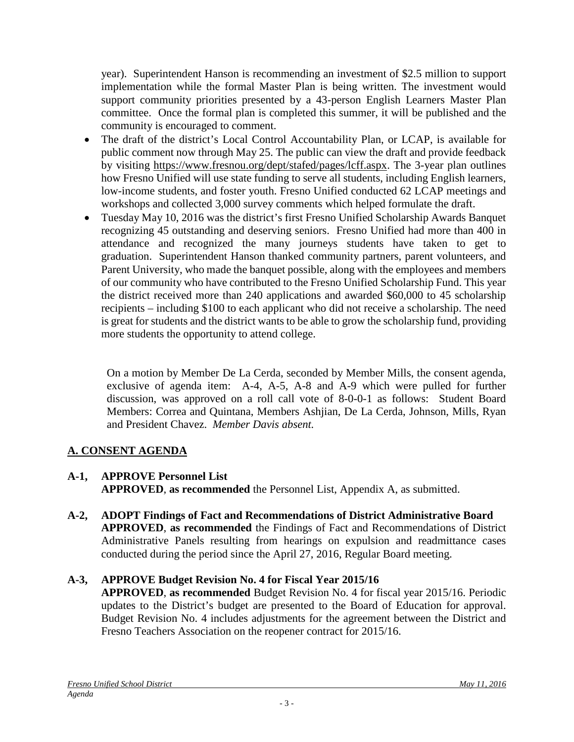year). Superintendent Hanson is recommending an investment of \$2.5 million to support implementation while the formal Master Plan is being written. The investment would support community priorities presented by a 43-person English Learners Master Plan committee. Once the formal plan is completed this summer, it will be published and the community is encouraged to comment.

- The draft of the district's Local Control Accountability Plan, or LCAP, is available for public comment now through May 25. The public can view the draft and provide feedback by visiting [https://www.fresnou.org/dept/stafed/pages/lcff.aspx.](https://www.fresnou.org/dept/stafed/pages/lcff.aspx) The 3-year plan outlines how Fresno Unified will use state funding to serve all students, including English learners, low-income students, and foster youth. Fresno Unified conducted 62 LCAP meetings and workshops and collected 3,000 survey comments which helped formulate the draft.
- Tuesday May 10, 2016 was the district's first Fresno Unified Scholarship Awards Banquet recognizing 45 outstanding and deserving seniors. Fresno Unified had more than 400 in attendance and recognized the many journeys students have taken to get to graduation. Superintendent Hanson thanked community partners, parent volunteers, and Parent University, who made the banquet possible, along with the employees and members of our community who have contributed to the Fresno Unified Scholarship Fund. This year the district received more than 240 applications and awarded \$60,000 to 45 scholarship recipients – including \$100 to each applicant who did not receive a scholarship. The need is great for students and the district wants to be able to grow the scholarship fund, providing more students the opportunity to attend college.

On a motion by Member De La Cerda, seconded by Member Mills, the consent agenda, exclusive of agenda item: A-4, A-5, A-8 and A-9 which were pulled for further discussion, was approved on a roll call vote of 8-0-0-1 as follows: Student Board Members: Correa and Quintana, Members Ashjian, De La Cerda, Johnson, Mills, Ryan and President Chavez. *Member Davis absent.*

# **A. CONSENT AGENDA**

- **A-1, APPROVE Personnel List APPROVED**, **as recommended** the Personnel List, Appendix A, as submitted.
- **A-2, ADOPT Findings of Fact and Recommendations of District Administrative Board APPROVED**, **as recommended** the Findings of Fact and Recommendations of District Administrative Panels resulting from hearings on expulsion and readmittance cases conducted during the period since the April 27, 2016, Regular Board meeting.

# **A-3, APPROVE Budget Revision No. 4 for Fiscal Year 2015/16**

**APPROVED**, **as recommended** Budget Revision No. 4 for fiscal year 2015/16. Periodic updates to the District's budget are presented to the Board of Education for approval. Budget Revision No. 4 includes adjustments for the agreement between the District and Fresno Teachers Association on the reopener contract for 2015/16.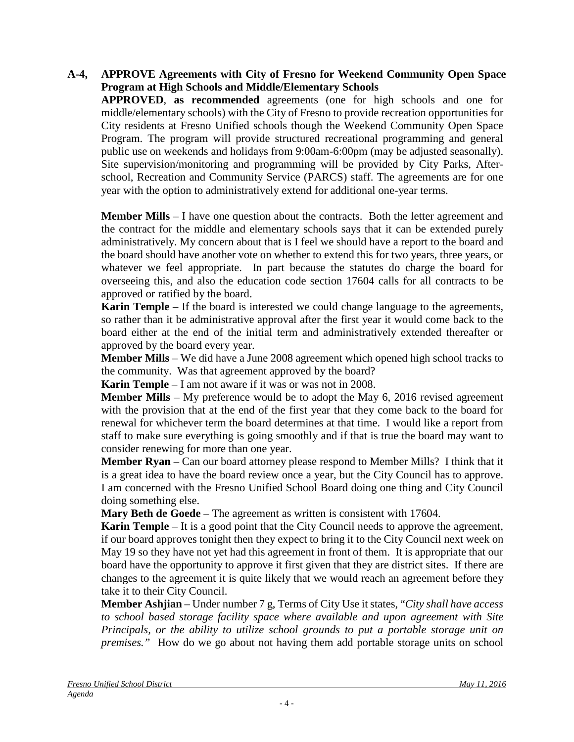### **A-4, APPROVE Agreements with City of Fresno for Weekend Community Open Space Program at High Schools and Middle/Elementary Schools**

**APPROVED**, **as recommended** agreements (one for high schools and one for middle/elementary schools) with the City of Fresno to provide recreation opportunities for City residents at Fresno Unified schools though the Weekend Community Open Space Program. The program will provide structured recreational programming and general public use on weekends and holidays from 9:00am-6:00pm (may be adjusted seasonally). Site supervision/monitoring and programming will be provided by City Parks, Afterschool, Recreation and Community Service (PARCS) staff. The agreements are for one year with the option to administratively extend for additional one-year terms.

**Member Mills** – I have one question about the contracts. Both the letter agreement and the contract for the middle and elementary schools says that it can be extended purely administratively. My concern about that is I feel we should have a report to the board and the board should have another vote on whether to extend this for two years, three years, or whatever we feel appropriate. In part because the statutes do charge the board for overseeing this, and also the education code section 17604 calls for all contracts to be approved or ratified by the board.

**Karin Temple** – If the board is interested we could change language to the agreements, so rather than it be administrative approval after the first year it would come back to the board either at the end of the initial term and administratively extended thereafter or approved by the board every year.

**Member Mills** – We did have a June 2008 agreement which opened high school tracks to the community. Was that agreement approved by the board?

**Karin Temple** – I am not aware if it was or was not in 2008.

**Member Mills** – My preference would be to adopt the May 6, 2016 revised agreement with the provision that at the end of the first year that they come back to the board for renewal for whichever term the board determines at that time. I would like a report from staff to make sure everything is going smoothly and if that is true the board may want to consider renewing for more than one year.

**Member Ryan** – Can our board attorney please respond to Member Mills? I think that it is a great idea to have the board review once a year, but the City Council has to approve. I am concerned with the Fresno Unified School Board doing one thing and City Council doing something else.

**Mary Beth de Goede** – The agreement as written is consistent with 17604.

**Karin Temple** – It is a good point that the City Council needs to approve the agreement, if our board approves tonight then they expect to bring it to the City Council next week on May 19 so they have not yet had this agreement in front of them. It is appropriate that our board have the opportunity to approve it first given that they are district sites. If there are changes to the agreement it is quite likely that we would reach an agreement before they take it to their City Council.

**Member Ashjian** – Under number 7 g, Terms of City Use it states, "*City shall have access to school based storage facility space where available and upon agreement with Site Principals, or the ability to utilize school grounds to put a portable storage unit on premises."* How do we go about not having them add portable storage units on school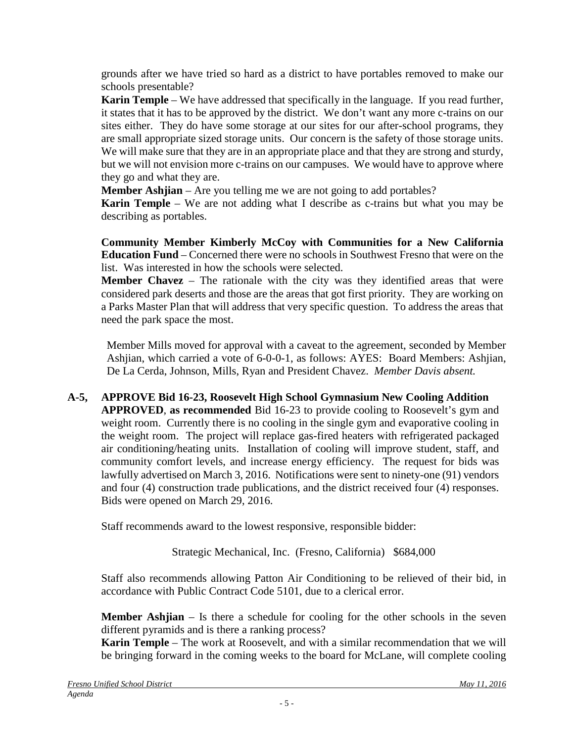grounds after we have tried so hard as a district to have portables removed to make our schools presentable?

**Karin Temple** – We have addressed that specifically in the language. If you read further, it states that it has to be approved by the district. We don't want any more c-trains on our sites either. They do have some storage at our sites for our after-school programs, they are small appropriate sized storage units. Our concern is the safety of those storage units. We will make sure that they are in an appropriate place and that they are strong and sturdy, but we will not envision more c-trains on our campuses. We would have to approve where they go and what they are.

**Member Ashjian** – Are you telling me we are not going to add portables?

**Karin Temple** – We are not adding what I describe as c-trains but what you may be describing as portables.

**Community Member Kimberly McCoy with Communities for a New California Education Fund** – Concerned there were no schools in Southwest Fresno that were on the list. Was interested in how the schools were selected.

**Member Chavez** – The rationale with the city was they identified areas that were considered park deserts and those are the areas that got first priority. They are working on a Parks Master Plan that will address that very specific question. To address the areas that need the park space the most.

Member Mills moved for approval with a caveat to the agreement, seconded by Member Ashjian, which carried a vote of 6-0-0-1, as follows: AYES: Board Members: Ashjian, De La Cerda, Johnson, Mills, Ryan and President Chavez. *Member Davis absent.*

**A-5, APPROVE Bid 16-23, Roosevelt High School Gymnasium New Cooling Addition APPROVED**, **as recommended** Bid 16-23 to provide cooling to Roosevelt's gym and weight room. Currently there is no cooling in the single gym and evaporative cooling in the weight room. The project will replace gas-fired heaters with refrigerated packaged air conditioning/heating units. Installation of cooling will improve student, staff, and community comfort levels, and increase energy efficiency. The request for bids was lawfully advertised on March 3, 2016. Notifications were sent to ninety-one (91) vendors and four (4) construction trade publications, and the district received four (4) responses. Bids were opened on March 29, 2016.

Staff recommends award to the lowest responsive, responsible bidder:

Strategic Mechanical, Inc. (Fresno, California) \$684,000

Staff also recommends allowing Patton Air Conditioning to be relieved of their bid, in accordance with Public Contract Code 5101, due to a clerical error.

**Member Ashjian** – Is there a schedule for cooling for the other schools in the seven different pyramids and is there a ranking process?

**Karin Temple** – The work at Roosevelt, and with a similar recommendation that we will be bringing forward in the coming weeks to the board for McLane, will complete cooling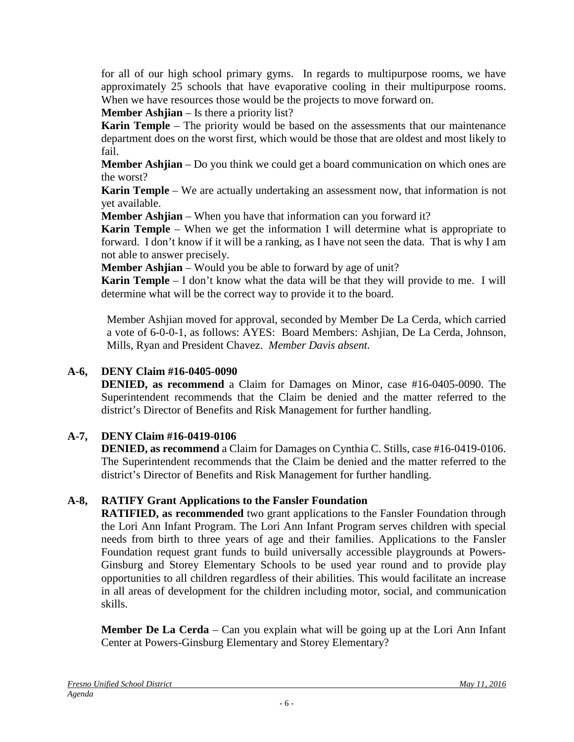for all of our high school primary gyms. In regards to multipurpose rooms, we have approximately 25 schools that have evaporative cooling in their multipurpose rooms. When we have resources those would be the projects to move forward on.

**Member Ashjian** – Is there a priority list?

**Karin Temple** – The priority would be based on the assessments that our maintenance department does on the worst first, which would be those that are oldest and most likely to fail.

**Member Ashjian** – Do you think we could get a board communication on which ones are the worst?

**Karin Temple** – We are actually undertaking an assessment now, that information is not yet available.

**Member Ashjian** – When you have that information can you forward it?

**Karin Temple** – When we get the information I will determine what is appropriate to forward. I don't know if it will be a ranking, as I have not seen the data. That is why I am not able to answer precisely.

**Member Ashjian** – Would you be able to forward by age of unit?

**Karin Temple** – I don't know what the data will be that they will provide to me. I will determine what will be the correct way to provide it to the board.

Member Ashjian moved for approval, seconded by Member De La Cerda, which carried a vote of 6-0-0-1, as follows: AYES: Board Members: Ashjian, De La Cerda, Johnson, Mills, Ryan and President Chavez. *Member Davis absent.*

### **A-6, DENY Claim #16-0405-0090**

**DENIED, as recommend** a Claim for Damages on Minor, case #16-0405-0090. The Superintendent recommends that the Claim be denied and the matter referred to the district's Director of Benefits and Risk Management for further handling.

## **A-7, DENY Claim #16-0419-0106**

**DENIED, as recommend** a Claim for Damages on Cynthia C. Stills, case #16-0419-0106. The Superintendent recommends that the Claim be denied and the matter referred to the district's Director of Benefits and Risk Management for further handling.

#### **A-8, RATIFY Grant Applications to the Fansler Foundation**

**RATIFIED, as recommended** two grant applications to the Fansler Foundation through the Lori Ann Infant Program. The Lori Ann Infant Program serves children with special needs from birth to three years of age and their families. Applications to the Fansler Foundation request grant funds to build universally accessible playgrounds at Powers-Ginsburg and Storey Elementary Schools to be used year round and to provide play opportunities to all children regardless of their abilities. This would facilitate an increase in all areas of development for the children including motor, social, and communication skills.

**Member De La Cerda** – Can you explain what will be going up at the Lori Ann Infant Center at Powers-Ginsburg Elementary and Storey Elementary?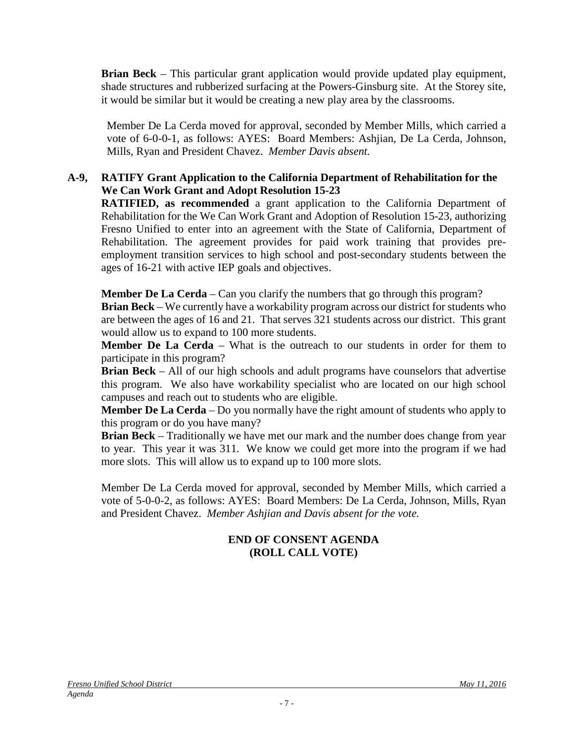**Brian Beck** – This particular grant application would provide updated play equipment, shade structures and rubberized surfacing at the Powers-Ginsburg site. At the Storey site, it would be similar but it would be creating a new play area by the classrooms.

Member De La Cerda moved for approval, seconded by Member Mills, which carried a vote of 6-0-0-1, as follows: AYES: Board Members: Ashjian, De La Cerda, Johnson, Mills, Ryan and President Chavez. *Member Davis absent.*

#### **A-9, RATIFY Grant Application to the California Department of Rehabilitation for the We Can Work Grant and Adopt Resolution 15-23**

**RATIFIED, as recommended** a grant application to the California Department of Rehabilitation for the We Can Work Grant and Adoption of Resolution 15-23, authorizing Fresno Unified to enter into an agreement with the State of California, Department of Rehabilitation. The agreement provides for paid work training that provides preemployment transition services to high school and post-secondary students between the ages of 16-21 with active IEP goals and objectives.

**Member De La Cerda** – Can you clarify the numbers that go through this program?

**Brian Beck** – We currently have a workability program across our district for students who are between the ages of 16 and 21. That serves 321 students across our district. This grant would allow us to expand to 100 more students.

**Member De La Cerda** – What is the outreach to our students in order for them to participate in this program?

**Brian Beck** – All of our high schools and adult programs have counselors that advertise this program. We also have workability specialist who are located on our high school campuses and reach out to students who are eligible.

**Member De La Cerda** – Do you normally have the right amount of students who apply to this program or do you have many?

**Brian Beck** – Traditionally we have met our mark and the number does change from year to year. This year it was 311. We know we could get more into the program if we had more slots. This will allow us to expand up to 100 more slots.

Member De La Cerda moved for approval, seconded by Member Mills, which carried a vote of 5-0-0-2, as follows: AYES: Board Members: De La Cerda, Johnson, Mills, Ryan and President Chavez. *Member Ashjian and Davis absent for the vote.*

## **END OF CONSENT AGENDA (ROLL CALL VOTE)**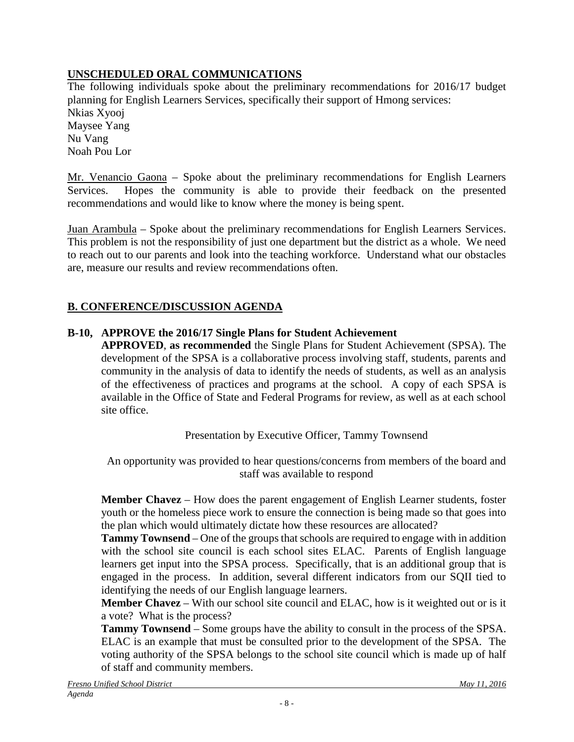# **UNSCHEDULED ORAL COMMUNICATIONS**

The following individuals spoke about the preliminary recommendations for 2016/17 budget planning for English Learners Services, specifically their support of Hmong services: Nkias Xyooj Maysee Yang Nu Vang Noah Pou Lor

Mr. Venancio Gaona – Spoke about the preliminary recommendations for English Learners Services. Hopes the community is able to provide their feedback on the presented recommendations and would like to know where the money is being spent.

Juan Arambula – Spoke about the preliminary recommendations for English Learners Services. This problem is not the responsibility of just one department but the district as a whole. We need to reach out to our parents and look into the teaching workforce. Understand what our obstacles are, measure our results and review recommendations often.

# **B. CONFERENCE/DISCUSSION AGENDA**

# **B-10, APPROVE the 2016/17 Single Plans for Student Achievement**

**APPROVED**, **as recommended** the Single Plans for Student Achievement (SPSA). The development of the SPSA is a collaborative process involving staff, students, parents and community in the analysis of data to identify the needs of students, as well as an analysis of the effectiveness of practices and programs at the school. A copy of each SPSA is available in the Office of State and Federal Programs for review, as well as at each school site office.

Presentation by Executive Officer, Tammy Townsend

An opportunity was provided to hear questions/concerns from members of the board and staff was available to respond

**Member Chavez** – How does the parent engagement of English Learner students, foster youth or the homeless piece work to ensure the connection is being made so that goes into the plan which would ultimately dictate how these resources are allocated?

**Tammy Townsend** – One of the groups that schools are required to engage with in addition with the school site council is each school sites ELAC. Parents of English language learners get input into the SPSA process. Specifically, that is an additional group that is engaged in the process. In addition, several different indicators from our SQII tied to identifying the needs of our English language learners.

**Member Chavez** – With our school site council and ELAC, how is it weighted out or is it a vote? What is the process?

**Tammy Townsend** – Some groups have the ability to consult in the process of the SPSA. ELAC is an example that must be consulted prior to the development of the SPSA. The voting authority of the SPSA belongs to the school site council which is made up of half of staff and community members.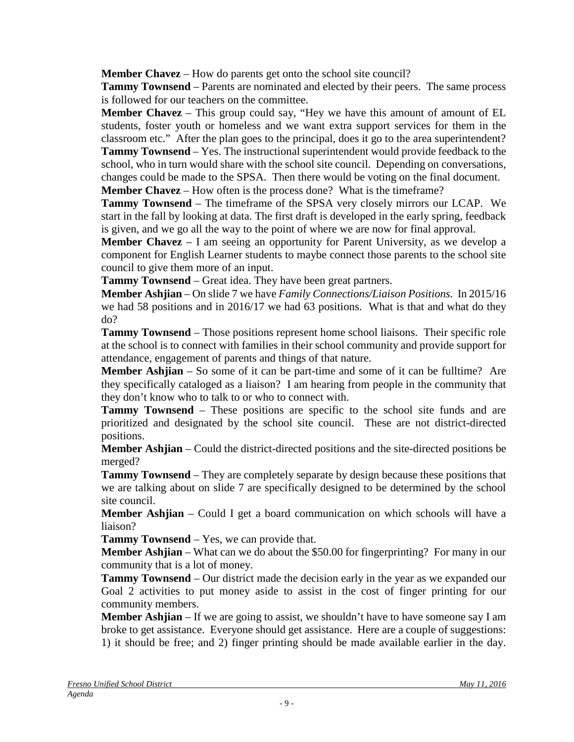**Member Chavez** – How do parents get onto the school site council?

**Tammy Townsend** – Parents are nominated and elected by their peers. The same process is followed for our teachers on the committee.

**Member Chavez** – This group could say, "Hey we have this amount of amount of EL students, foster youth or homeless and we want extra support services for them in the classroom etc." After the plan goes to the principal, does it go to the area superintendent? **Tammy Townsend** – Yes. The instructional superintendent would provide feedback to the school, who in turn would share with the school site council. Depending on conversations,

changes could be made to the SPSA. Then there would be voting on the final document.

**Member Chavez** – How often is the process done? What is the timeframe?

**Tammy Townsend** – The timeframe of the SPSA very closely mirrors our LCAP. We start in the fall by looking at data. The first draft is developed in the early spring, feedback is given, and we go all the way to the point of where we are now for final approval.

**Member Chavez** – I am seeing an opportunity for Parent University, as we develop a component for English Learner students to maybe connect those parents to the school site council to give them more of an input.

**Tammy Townsend** – Great idea. They have been great partners.

**Member Ashjian** – On slide 7 we have *Family Connections/Liaison Positions.* In 2015/16 we had 58 positions and in 2016/17 we had 63 positions. What is that and what do they do?

**Tammy Townsend** – Those positions represent home school liaisons. Their specific role at the school is to connect with families in their school community and provide support for attendance, engagement of parents and things of that nature.

**Member Ashjian** – So some of it can be part-time and some of it can be fulltime? Are they specifically cataloged as a liaison? I am hearing from people in the community that they don't know who to talk to or who to connect with.

**Tammy Townsend** – These positions are specific to the school site funds and are prioritized and designated by the school site council. These are not district-directed positions.

**Member Ashjian** – Could the district-directed positions and the site-directed positions be merged?

**Tammy Townsend** – They are completely separate by design because these positions that we are talking about on slide 7 are specifically designed to be determined by the school site council.

**Member Ashjian** – Could I get a board communication on which schools will have a liaison?

**Tammy Townsend** – Yes, we can provide that.

**Member Ashjian** – What can we do about the \$50.00 for fingerprinting? For many in our community that is a lot of money.

**Tammy Townsend** – Our district made the decision early in the year as we expanded our Goal 2 activities to put money aside to assist in the cost of finger printing for our community members.

**Member Ashjian** – If we are going to assist, we shouldn't have to have someone say I am broke to get assistance. Everyone should get assistance. Here are a couple of suggestions: 1) it should be free; and 2) finger printing should be made available earlier in the day.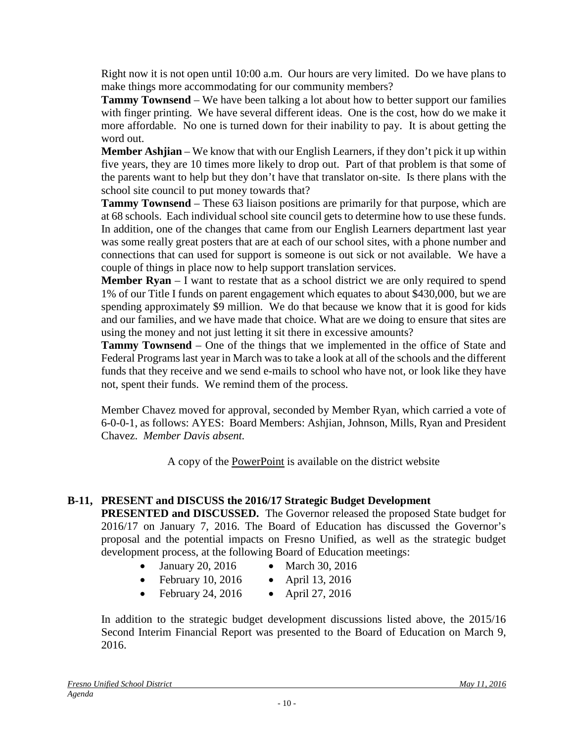Right now it is not open until 10:00 a.m. Our hours are very limited. Do we have plans to make things more accommodating for our community members?

**Tammy Townsend** – We have been talking a lot about how to better support our families with finger printing. We have several different ideas. One is the cost, how do we make it more affordable. No one is turned down for their inability to pay. It is about getting the word out.

**Member Ashjian** – We know that with our English Learners, if they don't pick it up within five years, they are 10 times more likely to drop out. Part of that problem is that some of the parents want to help but they don't have that translator on-site. Is there plans with the school site council to put money towards that?

**Tammy Townsend** – These 63 liaison positions are primarily for that purpose, which are at 68 schools. Each individual school site council gets to determine how to use these funds. In addition, one of the changes that came from our English Learners department last year was some really great posters that are at each of our school sites, with a phone number and connections that can used for support is someone is out sick or not available. We have a couple of things in place now to help support translation services.

**Member Ryan** – I want to restate that as a school district we are only required to spend 1% of our Title I funds on parent engagement which equates to about \$430,000, but we are spending approximately \$9 million. We do that because we know that it is good for kids and our families, and we have made that choice. What are we doing to ensure that sites are using the money and not just letting it sit there in excessive amounts?

**Tammy Townsend** – One of the things that we implemented in the office of State and Federal Programs last year in March was to take a look at all of the schools and the different funds that they receive and we send e-mails to school who have not, or look like they have not, spent their funds. We remind them of the process.

Member Chavez moved for approval, seconded by Member Ryan, which carried a vote of 6-0-0-1, as follows: AYES: Board Members: Ashjian, Johnson, Mills, Ryan and President Chavez. *Member Davis absent.*

A copy of the PowerPoint is available on the district website

# **B-11, PRESENT and DISCUSS the 2016/17 Strategic Budget Development**

**PRESENTED and DISCUSSED.** The Governor released the proposed State budget for 2016/17 on January 7, 2016. The Board of Education has discussed the Governor's proposal and the potential impacts on Fresno Unified, as well as the strategic budget development process, at the following Board of Education meetings:

- January 20, 2016 March 30, 2016
- February 10, 2016 April 13, 2016
- February 24, 2016 April 27, 2016

In addition to the strategic budget development discussions listed above, the 2015/16 Second Interim Financial Report was presented to the Board of Education on March 9, 2016.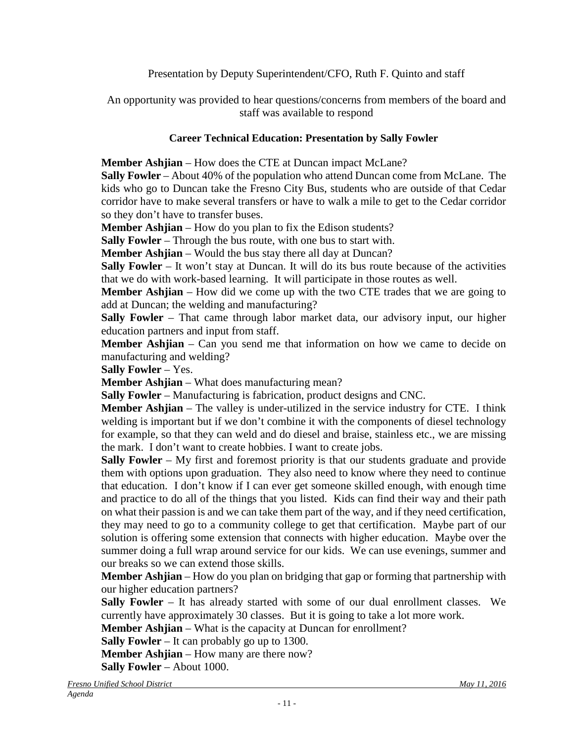Presentation by Deputy Superintendent/CFO, Ruth F. Quinto and staff

An opportunity was provided to hear questions/concerns from members of the board and staff was available to respond

## **Career Technical Education: Presentation by Sally Fowler**

**Member Ashjian** – How does the CTE at Duncan impact McLane?

**Sally Fowler** – About 40% of the population who attend Duncan come from McLane. The kids who go to Duncan take the Fresno City Bus, students who are outside of that Cedar corridor have to make several transfers or have to walk a mile to get to the Cedar corridor so they don't have to transfer buses.

**Member Ashjian** – How do you plan to fix the Edison students?

**Sally Fowler** – Through the bus route, with one bus to start with.

**Member Ashjian** – Would the bus stay there all day at Duncan?

**Sally Fowler** – It won't stay at Duncan. It will do its bus route because of the activities that we do with work-based learning. It will participate in those routes as well.

**Member Ashjian** – How did we come up with the two CTE trades that we are going to add at Duncan; the welding and manufacturing?

**Sally Fowler** – That came through labor market data, our advisory input, our higher education partners and input from staff.

**Member Ashjian** – Can you send me that information on how we came to decide on manufacturing and welding?

**Sally Fowler** – Yes.

**Member Ashjian** – What does manufacturing mean?

**Sally Fowler** – Manufacturing is fabrication, product designs and CNC.

**Member Ashjian** – The valley is under-utilized in the service industry for CTE. I think welding is important but if we don't combine it with the components of diesel technology for example, so that they can weld and do diesel and braise, stainless etc., we are missing the mark. I don't want to create hobbies. I want to create jobs.

**Sally Fowler** – My first and foremost priority is that our students graduate and provide them with options upon graduation. They also need to know where they need to continue that education. I don't know if I can ever get someone skilled enough, with enough time and practice to do all of the things that you listed. Kids can find their way and their path on what their passion is and we can take them part of the way, and if they need certification, they may need to go to a community college to get that certification. Maybe part of our solution is offering some extension that connects with higher education. Maybe over the summer doing a full wrap around service for our kids. We can use evenings, summer and our breaks so we can extend those skills.

**Member Ashjian** – How do you plan on bridging that gap or forming that partnership with our higher education partners?

Sally Fowler – It has already started with some of our dual enrollment classes. We currently have approximately 30 classes. But it is going to take a lot more work.

**Member Ashjian** – What is the capacity at Duncan for enrollment?

**Sally Fowler** – It can probably go up to 1300.

**Member Ashjian** – How many are there now?

**Sally Fowler** – About 1000.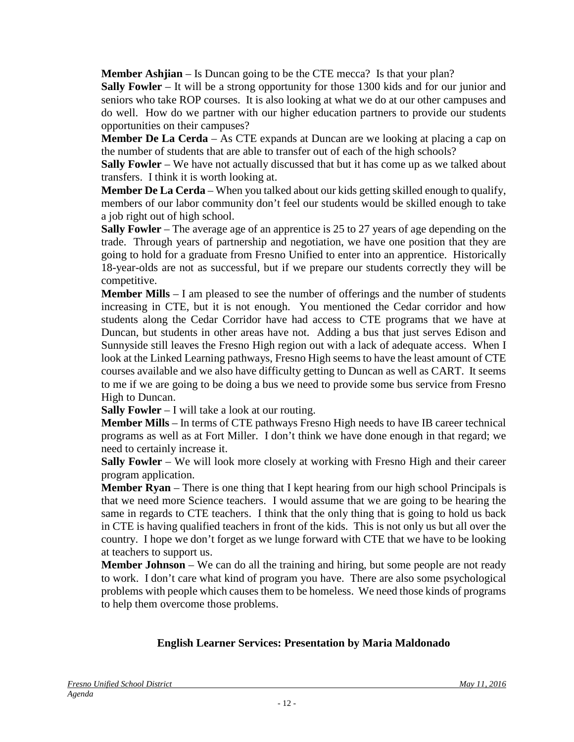**Member Ashijan** – Is Duncan going to be the CTE mecca? Is that your plan?

**Sally Fowler** – It will be a strong opportunity for those 1300 kids and for our junior and seniors who take ROP courses. It is also looking at what we do at our other campuses and do well. How do we partner with our higher education partners to provide our students opportunities on their campuses?

**Member De La Cerda** – As CTE expands at Duncan are we looking at placing a cap on the number of students that are able to transfer out of each of the high schools?

**Sally Fowler** – We have not actually discussed that but it has come up as we talked about transfers. I think it is worth looking at.

**Member De La Cerda** – When you talked about our kids getting skilled enough to qualify, members of our labor community don't feel our students would be skilled enough to take a job right out of high school.

**Sally Fowler** – The average age of an apprentice is 25 to 27 years of age depending on the trade. Through years of partnership and negotiation, we have one position that they are going to hold for a graduate from Fresno Unified to enter into an apprentice. Historically 18-year-olds are not as successful, but if we prepare our students correctly they will be competitive.

**Member Mills** – I am pleased to see the number of offerings and the number of students increasing in CTE, but it is not enough. You mentioned the Cedar corridor and how students along the Cedar Corridor have had access to CTE programs that we have at Duncan, but students in other areas have not. Adding a bus that just serves Edison and Sunnyside still leaves the Fresno High region out with a lack of adequate access. When I look at the Linked Learning pathways, Fresno High seems to have the least amount of CTE courses available and we also have difficulty getting to Duncan as well as CART. It seems to me if we are going to be doing a bus we need to provide some bus service from Fresno High to Duncan.

**Sally Fowler** – I will take a look at our routing.

**Member Mills** – In terms of CTE pathways Fresno High needs to have IB career technical programs as well as at Fort Miller. I don't think we have done enough in that regard; we need to certainly increase it.

**Sally Fowler** – We will look more closely at working with Fresno High and their career program application.

**Member Ryan** – There is one thing that I kept hearing from our high school Principals is that we need more Science teachers. I would assume that we are going to be hearing the same in regards to CTE teachers. I think that the only thing that is going to hold us back in CTE is having qualified teachers in front of the kids. This is not only us but all over the country. I hope we don't forget as we lunge forward with CTE that we have to be looking at teachers to support us.

**Member Johnson** – We can do all the training and hiring, but some people are not ready to work. I don't care what kind of program you have. There are also some psychological problems with people which causes them to be homeless. We need those kinds of programs to help them overcome those problems.

## **English Learner Services: Presentation by Maria Maldonado**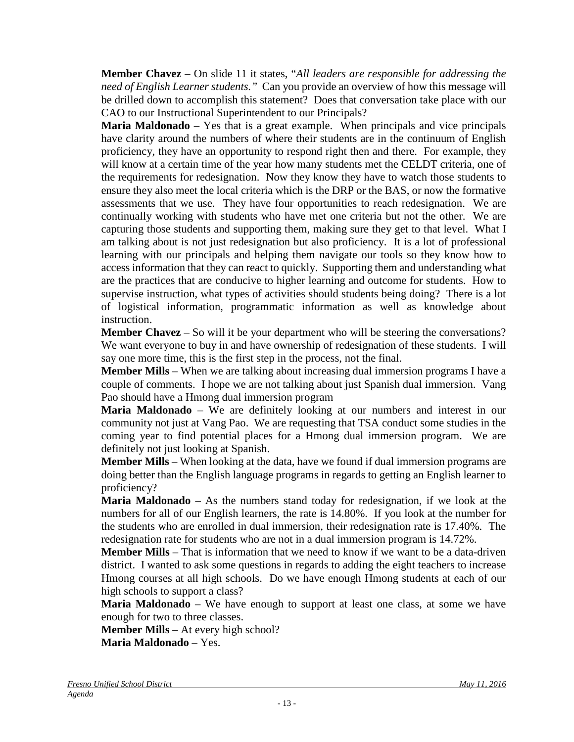**Member Chavez** – On slide 11 it states, "*All leaders are responsible for addressing the need of English Learner students."* Can you provide an overview of how this message will be drilled down to accomplish this statement? Does that conversation take place with our CAO to our Instructional Superintendent to our Principals?

**Maria Maldonado** – Yes that is a great example. When principals and vice principals have clarity around the numbers of where their students are in the continuum of English proficiency, they have an opportunity to respond right then and there. For example, they will know at a certain time of the year how many students met the CELDT criteria, one of the requirements for redesignation. Now they know they have to watch those students to ensure they also meet the local criteria which is the DRP or the BAS, or now the formative assessments that we use. They have four opportunities to reach redesignation. We are continually working with students who have met one criteria but not the other. We are capturing those students and supporting them, making sure they get to that level. What I am talking about is not just redesignation but also proficiency. It is a lot of professional learning with our principals and helping them navigate our tools so they know how to access information that they can react to quickly. Supporting them and understanding what are the practices that are conducive to higher learning and outcome for students. How to supervise instruction, what types of activities should students being doing? There is a lot of logistical information, programmatic information as well as knowledge about instruction.

**Member Chavez** – So will it be your department who will be steering the conversations? We want everyone to buy in and have ownership of redesignation of these students. I will say one more time, this is the first step in the process, not the final.

**Member Mills** – When we are talking about increasing dual immersion programs I have a couple of comments. I hope we are not talking about just Spanish dual immersion. Vang Pao should have a Hmong dual immersion program

**Maria Maldonado** – We are definitely looking at our numbers and interest in our community not just at Vang Pao. We are requesting that TSA conduct some studies in the coming year to find potential places for a Hmong dual immersion program. We are definitely not just looking at Spanish.

**Member Mills** – When looking at the data, have we found if dual immersion programs are doing better than the English language programs in regards to getting an English learner to proficiency?

**Maria Maldonado** – As the numbers stand today for redesignation, if we look at the numbers for all of our English learners, the rate is 14.80%. If you look at the number for the students who are enrolled in dual immersion, their redesignation rate is 17.40%. The redesignation rate for students who are not in a dual immersion program is 14.72%.

**Member Mills** – That is information that we need to know if we want to be a data-driven district. I wanted to ask some questions in regards to adding the eight teachers to increase Hmong courses at all high schools. Do we have enough Hmong students at each of our high schools to support a class?

**Maria Maldonado** – We have enough to support at least one class, at some we have enough for two to three classes.

**Member Mills** – At every high school?

**Maria Maldonado** – Yes.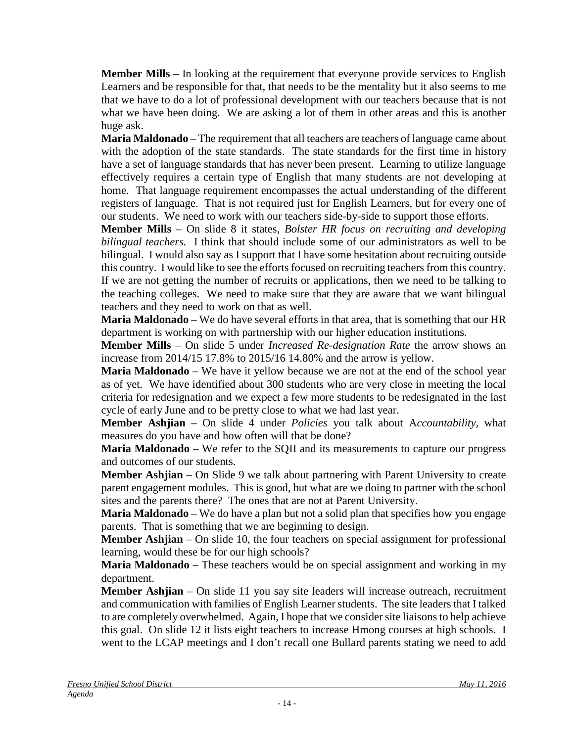**Member Mills** – In looking at the requirement that everyone provide services to English Learners and be responsible for that, that needs to be the mentality but it also seems to me that we have to do a lot of professional development with our teachers because that is not what we have been doing. We are asking a lot of them in other areas and this is another huge ask.

**Maria Maldonado** – The requirement that all teachers are teachers of language came about with the adoption of the state standards. The state standards for the first time in history have a set of language standards that has never been present. Learning to utilize language effectively requires a certain type of English that many students are not developing at home. That language requirement encompasses the actual understanding of the different registers of language. That is not required just for English Learners, but for every one of our students. We need to work with our teachers side-by-side to support those efforts.

**Member Mills** – On slide 8 it states, *Bolster HR focus on recruiting and developing bilingual teachers.* I think that should include some of our administrators as well to be bilingual. I would also say as I support that I have some hesitation about recruiting outside this country. I would like to see the efforts focused on recruiting teachers from this country. If we are not getting the number of recruits or applications, then we need to be talking to the teaching colleges. We need to make sure that they are aware that we want bilingual teachers and they need to work on that as well.

**Maria Maldonado** – We do have several efforts in that area, that is something that our HR department is working on with partnership with our higher education institutions.

**Member Mills** – On slide 5 under *Increased Re-designation Rate* the arrow shows an increase from 2014/15 17.8% to 2015/16 14.80% and the arrow is yellow.

**Maria Maldonado** – We have it yellow because we are not at the end of the school year as of yet. We have identified about 300 students who are very close in meeting the local criteria for redesignation and we expect a few more students to be redesignated in the last cycle of early June and to be pretty close to what we had last year.

**Member Ashjian** – On slide 4 under *Policies* you talk about A*ccountability,* what measures do you have and how often will that be done?

**Maria Maldonado** – We refer to the SQII and its measurements to capture our progress and outcomes of our students.

**Member Ashjian** – On Slide 9 we talk about partnering with Parent University to create parent engagement modules. This is good, but what are we doing to partner with the school sites and the parents there? The ones that are not at Parent University.

**Maria Maldonado** – We do have a plan but not a solid plan that specifies how you engage parents. That is something that we are beginning to design.

**Member Ashjian** – On slide 10, the four teachers on special assignment for professional learning, would these be for our high schools?

**Maria Maldonado** – These teachers would be on special assignment and working in my department.

**Member Ashjian** – On slide 11 you say site leaders will increase outreach, recruitment and communication with families of English Learner students. The site leaders that I talked to are completely overwhelmed. Again, I hope that we consider site liaisons to help achieve this goal. On slide 12 it lists eight teachers to increase Hmong courses at high schools. I went to the LCAP meetings and I don't recall one Bullard parents stating we need to add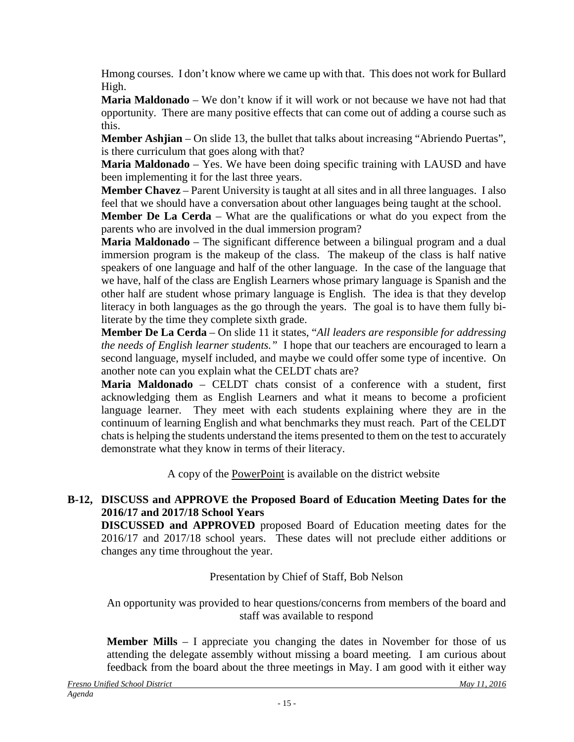Hmong courses. I don't know where we came up with that. This does not work for Bullard High.

**Maria Maldonado** – We don't know if it will work or not because we have not had that opportunity. There are many positive effects that can come out of adding a course such as this.

**Member Ashjian** – On slide 13, the bullet that talks about increasing "Abriendo Puertas", is there curriculum that goes along with that?

**Maria Maldonado** – Yes. We have been doing specific training with LAUSD and have been implementing it for the last three years.

**Member Chavez** – Parent University is taught at all sites and in all three languages. I also feel that we should have a conversation about other languages being taught at the school.

**Member De La Cerda** – What are the qualifications or what do you expect from the parents who are involved in the dual immersion program?

**Maria Maldonado** – The significant difference between a bilingual program and a dual immersion program is the makeup of the class. The makeup of the class is half native speakers of one language and half of the other language. In the case of the language that we have, half of the class are English Learners whose primary language is Spanish and the other half are student whose primary language is English. The idea is that they develop literacy in both languages as the go through the years. The goal is to have them fully biliterate by the time they complete sixth grade.

**Member De La Cerda** – On slide 11 it states, "*All leaders are responsible for addressing the needs of English learner students."* I hope that our teachers are encouraged to learn a second language, myself included, and maybe we could offer some type of incentive. On another note can you explain what the CELDT chats are?

**Maria Maldonado** – CELDT chats consist of a conference with a student, first acknowledging them as English Learners and what it means to become a proficient language learner. They meet with each students explaining where they are in the continuum of learning English and what benchmarks they must reach. Part of the CELDT chats is helping the students understand the items presented to them on the test to accurately demonstrate what they know in terms of their literacy.

A copy of the PowerPoint is available on the district website

# **B-12, DISCUSS and APPROVE the Proposed Board of Education Meeting Dates for the 2016/17 and 2017/18 School Years**

**DISCUSSED and APPROVED** proposed Board of Education meeting dates for the 2016/17 and 2017/18 school years. These dates will not preclude either additions or changes any time throughout the year.

# Presentation by Chief of Staff, Bob Nelson

An opportunity was provided to hear questions/concerns from members of the board and staff was available to respond

**Member Mills** – I appreciate you changing the dates in November for those of us attending the delegate assembly without missing a board meeting. I am curious about feedback from the board about the three meetings in May. I am good with it either way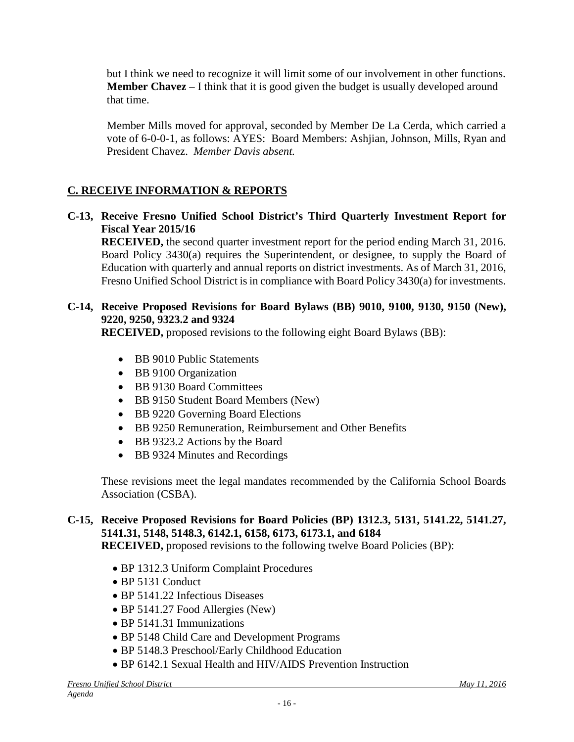but I think we need to recognize it will limit some of our involvement in other functions. **Member Chavez** – I think that it is good given the budget is usually developed around that time.

Member Mills moved for approval, seconded by Member De La Cerda, which carried a vote of 6-0-0-1, as follows: AYES: Board Members: Ashjian, Johnson, Mills, Ryan and President Chavez. *Member Davis absent.*

# **C. RECEIVE INFORMATION & REPORTS**

**C-13, Receive Fresno Unified School District's Third Quarterly Investment Report for Fiscal Year 2015/16**

**RECEIVED,** the second quarter investment report for the period ending March 31, 2016. Board Policy 3430(a) requires the Superintendent, or designee, to supply the Board of Education with quarterly and annual reports on district investments. As of March 31, 2016, Fresno Unified School District is in compliance with Board Policy 3430(a) for investments.

### **C-14, Receive Proposed Revisions for Board Bylaws (BB) 9010, 9100, 9130, 9150 (New), 9220, 9250, 9323.2 and 9324**

**RECEIVED,** proposed revisions to the following eight Board Bylaws (BB):

- BB 9010 Public Statements
- BB 9100 Organization
- BB 9130 Board Committees
- BB 9150 Student Board Members (New)
- BB 9220 Governing Board Elections
- BB 9250 Remuneration, Reimbursement and Other Benefits
- BB 9323.2 Actions by the Board
- BB 9324 Minutes and Recordings

These revisions meet the legal mandates recommended by the California School Boards Association (CSBA).

# **C-15, Receive Proposed Revisions for Board Policies (BP) 1312.3, 5131, 5141.22, 5141.27, 5141.31, 5148, 5148.3, 6142.1, 6158, 6173, 6173.1, and 6184**

**RECEIVED,** proposed revisions to the following twelve Board Policies (BP):

- BP 1312.3 Uniform Complaint Procedures
- BP 5131 Conduct
- BP 5141.22 Infectious Diseases
- BP 5141.27 Food Allergies (New)
- BP 5141.31 Immunizations
- BP 5148 Child Care and Development Programs
- BP 5148.3 Preschool/Early Childhood Education
- BP 6142.1 Sexual Health and HIV/AIDS Prevention Instruction